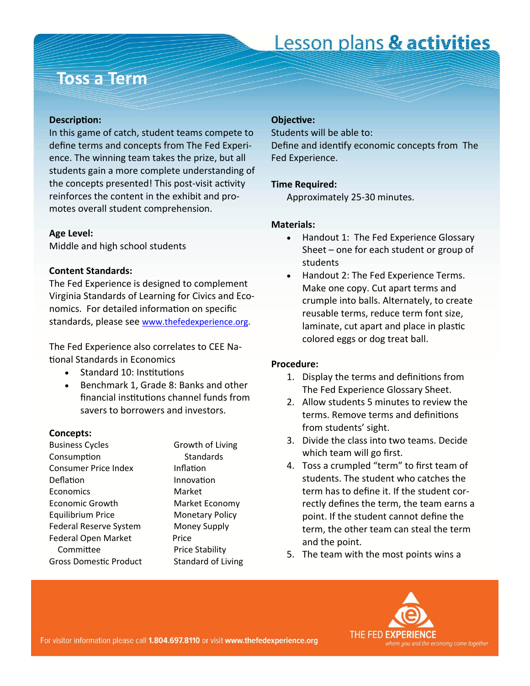#### **Toss a Term**

#### **DescripƟon:**

In this game of catch, student teams compete to define terms and concepts from The Fed Experi‐ ence. The winning team takes the prize, but all students gain a more complete understanding of the concepts presented! This post-visit activity reinforces the content in the exhibit and pro‐ motes overall student comprehension.

#### **Age Level:**

Middle and high school students

#### **Content Standards:**

The Fed Experience is designed to complement Virginia Standards of Learning for Civics and Eco‐ nomics. For detailed information on specific standards, please see [www.thefedexperience.org](http://thefedexperience.org/education/TFE%20SOLs.pdf).

The Fed Experience also correlates to CEE Na‐ tional Standards in Economics

- Standard 10: Institutions
- Benchmark 1, Grade 8: Banks and other financial institutions channel funds from savers to borrowers and investors.

#### **Concepts:**

Business Cycles **Canadian Contact Contact Contact Contact Contact Contact Contact Contact Contact Contact Contact Contact Contact Contact Contact Contact Contact Contact Contact Contact Contact Contact Contact Contact Cont** ConsumpƟon Standards Consumer Price Index **Inflation** Deflation Innovation Economics Market Economic Growth Market Economy Equilibrium Price Monetary Policy Federal Reserve System Money Supply Federal Open Market Price Committee **British Price Stability** Gross Domestic Product Standard of Living

#### **ObjecƟve:**

Students will be able to:

Define and identify economic concepts from The Fed Experience.

#### **Time Required:**

Approximately 25‐30 minutes.

#### **Materials:**

- Handout 1: The Fed Experience Glossary Sheet – one for each student or group of students
- Handout 2: The Fed Experience Terms. Make one copy. Cut apart terms and crumple into balls. Alternately, to create reusable terms, reduce term font size, laminate, cut apart and place in plastic colored eggs or dog treat ball.

#### **Procedure:**

- 1. Display the terms and definitions from The Fed Experience Glossary Sheet.
- 2. Allow students 5 minutes to review the terms. Remove terms and definitions from students' sight.
- 3. Divide the class into two teams. Decide which team will go first.
- 4. Toss a crumpled "term" to first team of students. The student who catches the term has to define it. If the student cor‐ rectly defines the term, the team earns a point. If the student cannot define the term, the other team can steal the term and the point.
- 5. The team with the most points wins a

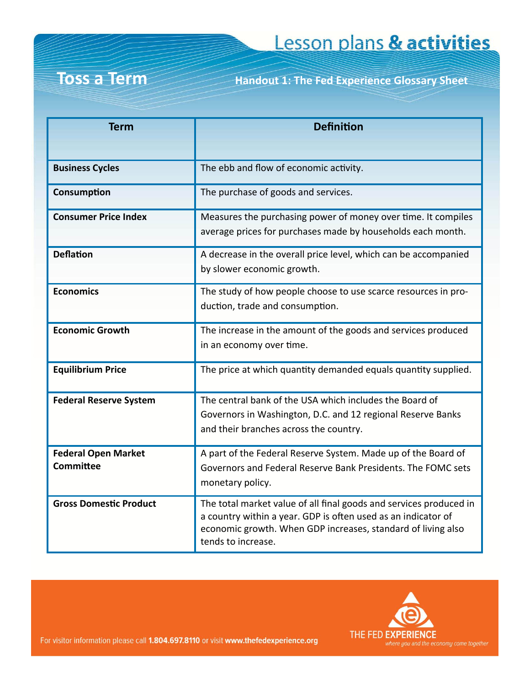#### **Toss a Term**

**Handout 1: The Fed Experience Glossary Sheet** 

| <b>Term</b>                             | <b>Definition</b>                                                                                                                                                                                                         |
|-----------------------------------------|---------------------------------------------------------------------------------------------------------------------------------------------------------------------------------------------------------------------------|
|                                         |                                                                                                                                                                                                                           |
| <b>Business Cycles</b>                  | The ebb and flow of economic activity.                                                                                                                                                                                    |
| Consumption                             | The purchase of goods and services.                                                                                                                                                                                       |
| <b>Consumer Price Index</b>             | Measures the purchasing power of money over time. It compiles<br>average prices for purchases made by households each month.                                                                                              |
| <b>Deflation</b>                        | A decrease in the overall price level, which can be accompanied<br>by slower economic growth.                                                                                                                             |
| <b>Economics</b>                        | The study of how people choose to use scarce resources in pro-<br>duction, trade and consumption.                                                                                                                         |
| <b>Economic Growth</b>                  | The increase in the amount of the goods and services produced<br>in an economy over time.                                                                                                                                 |
| <b>Equilibrium Price</b>                | The price at which quantity demanded equals quantity supplied.                                                                                                                                                            |
| <b>Federal Reserve System</b>           | The central bank of the USA which includes the Board of<br>Governors in Washington, D.C. and 12 regional Reserve Banks<br>and their branches across the country.                                                          |
| <b>Federal Open Market</b><br>Committee | A part of the Federal Reserve System. Made up of the Board of<br>Governors and Federal Reserve Bank Presidents. The FOMC sets<br>monetary policy.                                                                         |
| <b>Gross Domestic Product</b>           | The total market value of all final goods and services produced in<br>a country within a year. GDP is often used as an indicator of<br>economic growth. When GDP increases, standard of living also<br>tends to increase. |

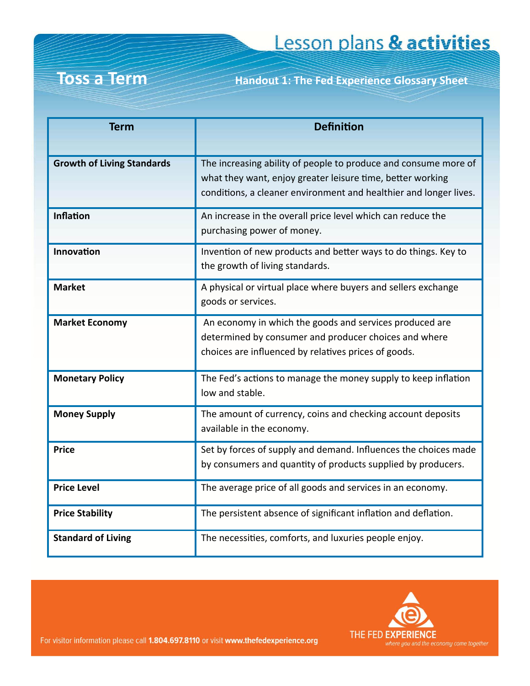#### **Toss a Term Handout 1: The Fed Experience Glossary Sheet**

| <b>Term</b>                       | <b>Definition</b>                                                                                                                                                                                  |
|-----------------------------------|----------------------------------------------------------------------------------------------------------------------------------------------------------------------------------------------------|
| <b>Growth of Living Standards</b> | The increasing ability of people to produce and consume more of<br>what they want, enjoy greater leisure time, better working<br>conditions, a cleaner environment and healthier and longer lives. |
| <b>Inflation</b>                  | An increase in the overall price level which can reduce the<br>purchasing power of money.                                                                                                          |
| Innovation                        | Invention of new products and better ways to do things. Key to<br>the growth of living standards.                                                                                                  |
| <b>Market</b>                     | A physical or virtual place where buyers and sellers exchange<br>goods or services.                                                                                                                |
| <b>Market Economy</b>             | An economy in which the goods and services produced are<br>determined by consumer and producer choices and where<br>choices are influenced by relatives prices of goods.                           |
| <b>Monetary Policy</b>            | The Fed's actions to manage the money supply to keep inflation<br>low and stable.                                                                                                                  |
| <b>Money Supply</b>               | The amount of currency, coins and checking account deposits<br>available in the economy.                                                                                                           |
| <b>Price</b>                      | Set by forces of supply and demand. Influences the choices made<br>by consumers and quantity of products supplied by producers.                                                                    |
| <b>Price Level</b>                | The average price of all goods and services in an economy.                                                                                                                                         |
| <b>Price Stability</b>            | The persistent absence of significant inflation and deflation.                                                                                                                                     |
| <b>Standard of Living</b>         | The necessities, comforts, and luxuries people enjoy.                                                                                                                                              |

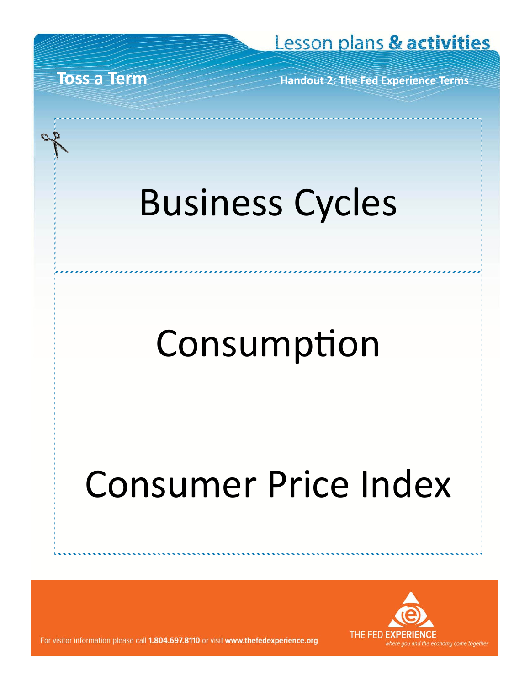**Toss a Term Handout 2: The Fed Experience Terms**

# Business Cycles

## Consumption

# Consumer Price Index

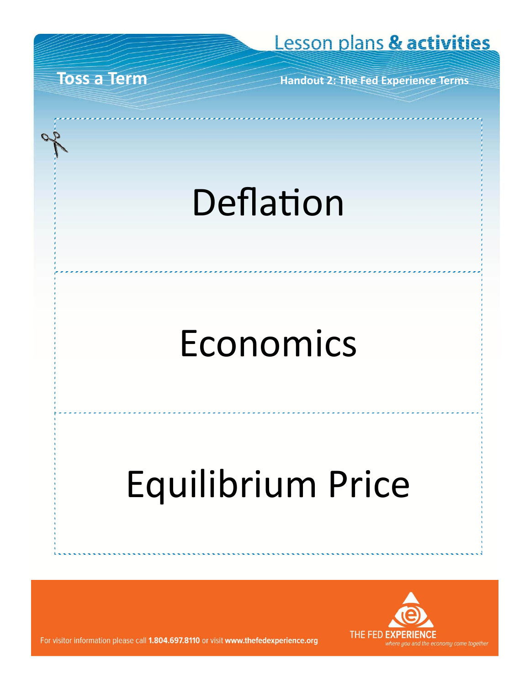**Handout 2: The Fed Experience Terms** 

## Deflation

## Economics

# Equilibrium Price



For visitor information please call 1.804.697.8110 or visit www.thefedexperience.org

**Toss a Term**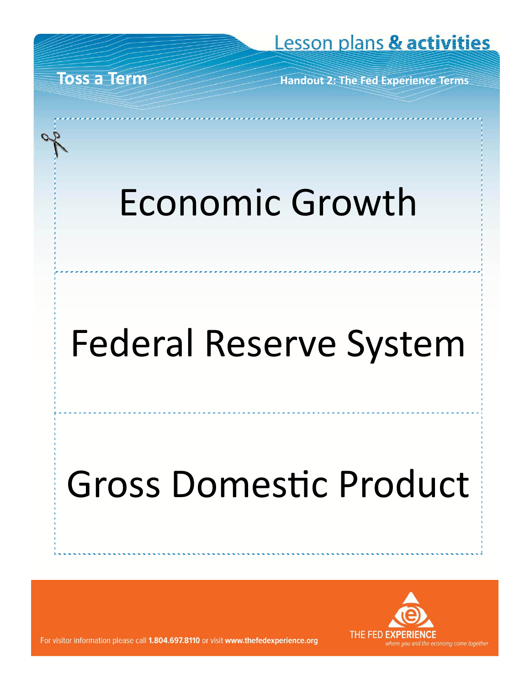**Toss a Term** 

**Handout 2: The Fed Experience Terms** 

# Economic Growth

# **Federal Reserve System**

# **Gross Domestic Product**

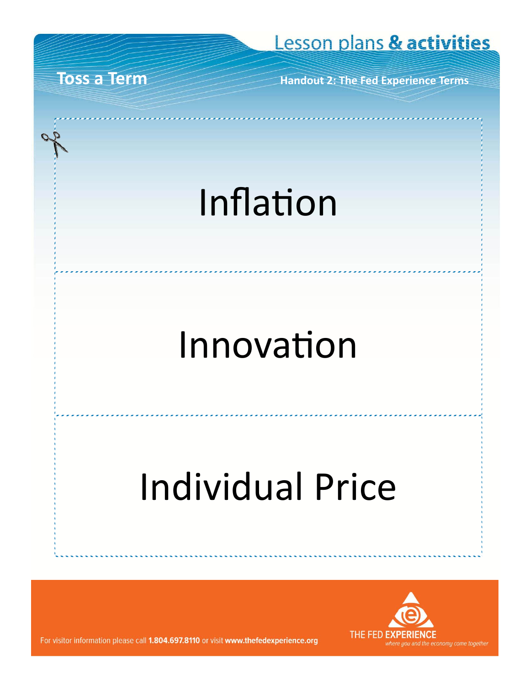**Handout 2: The Fed Experience Terms** 

## Inflation

## Innovation

# **Individual Price**



For visitor information please call 1.804.697.8110 or visit www.thefedexperience.org

**Toss a Term**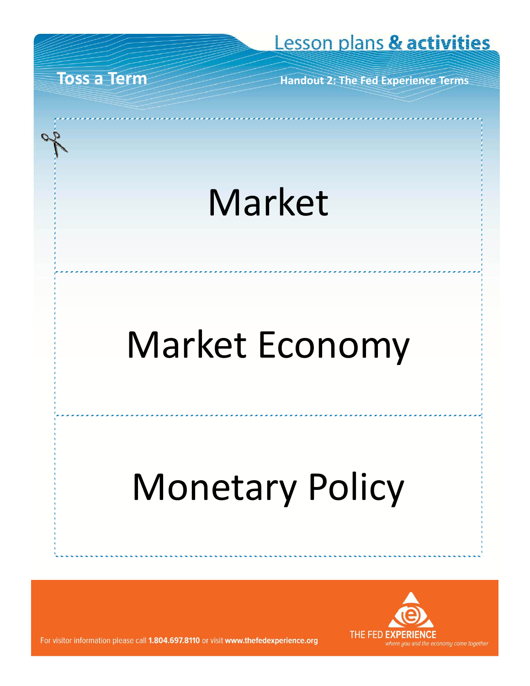**Toss a Term Handout 2: The Fed Experience Terms**

### Market

## Market Economy

# Monetary Policy

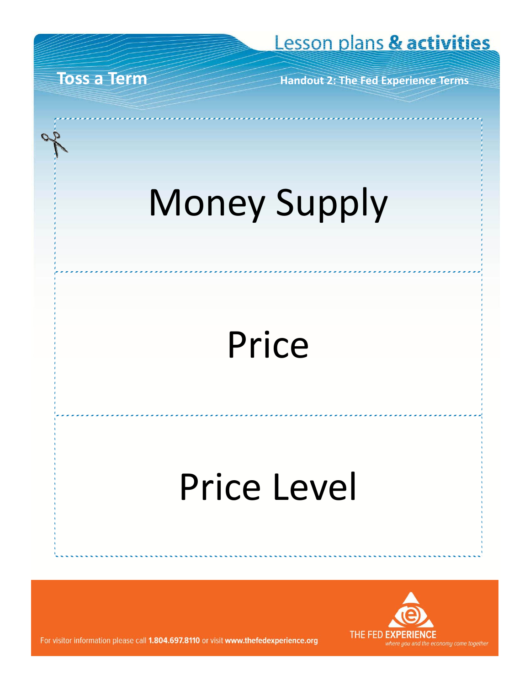**Toss a Term Handout 2: The Fed Experience Terms**

# Money Supply

## Price

### Price Level

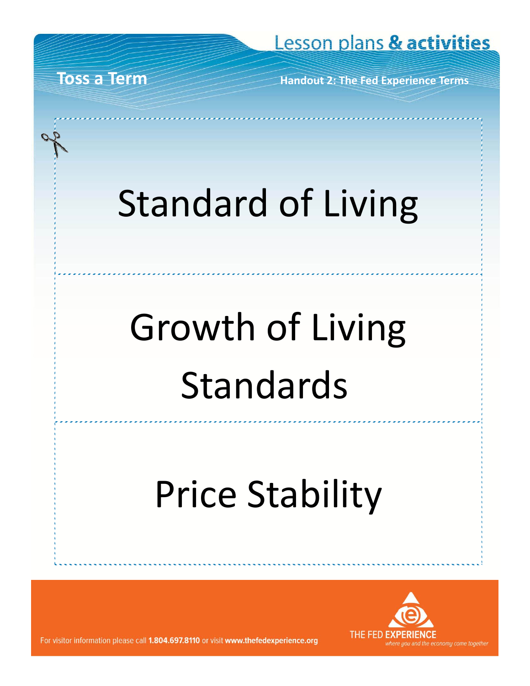**Toss a Term Handout 2: The Fed Experience Terms**

# Standard of Living

# Growth of Living Standards

## Price Stability